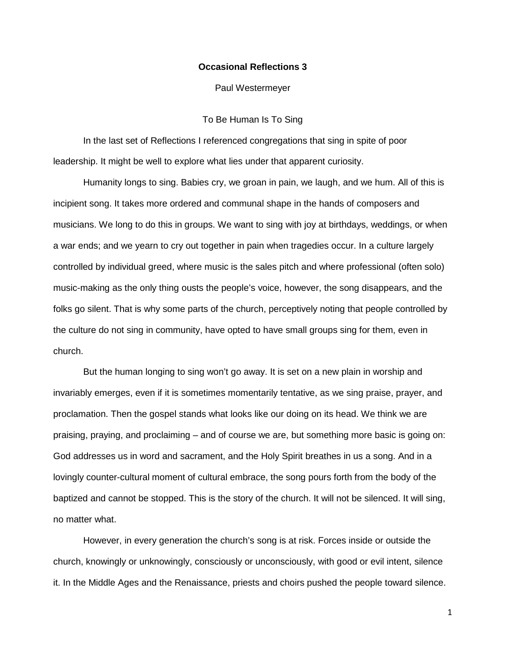## **Occasional Reflections 3**

Paul Westermeyer

## To Be Human Is To Sing

In the last set of Reflections I referenced congregations that sing in spite of poor leadership. It might be well to explore what lies under that apparent curiosity.

Humanity longs to sing. Babies cry, we groan in pain, we laugh, and we hum. All of this is incipient song. It takes more ordered and communal shape in the hands of composers and musicians. We long to do this in groups. We want to sing with joy at birthdays, weddings, or when a war ends; and we yearn to cry out together in pain when tragedies occur. In a culture largely controlled by individual greed, where music is the sales pitch and where professional (often solo) music-making as the only thing ousts the people's voice, however, the song disappears, and the folks go silent. That is why some parts of the church, perceptively noting that people controlled by the culture do not sing in community, have opted to have small groups sing for them, even in church.

But the human longing to sing won't go away. It is set on a new plain in worship and invariably emerges, even if it is sometimes momentarily tentative, as we sing praise, prayer, and proclamation. Then the gospel stands what looks like our doing on its head. We think we are praising, praying, and proclaiming – and of course we are, but something more basic is going on: God addresses us in word and sacrament, and the Holy Spirit breathes in us a song. And in a lovingly counter-cultural moment of cultural embrace, the song pours forth from the body of the baptized and cannot be stopped. This is the story of the church. It will not be silenced. It will sing, no matter what.

However, in every generation the church's song is at risk. Forces inside or outside the church, knowingly or unknowingly, consciously or unconsciously, with good or evil intent, silence it. In the Middle Ages and the Renaissance, priests and choirs pushed the people toward silence.

1